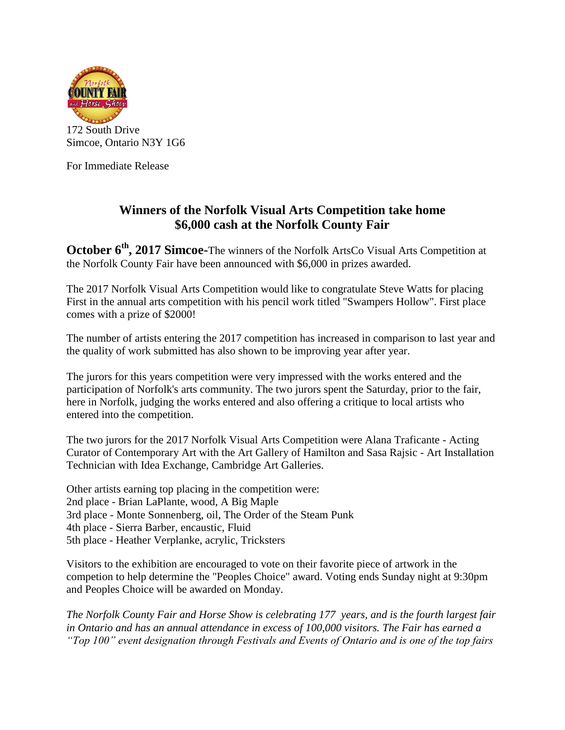

For Immediate Release

## **Winners of the Norfolk Visual Arts Competition take home \$6,000 cash at the Norfolk County Fair**

**October 6 th , 2017 Simcoe-**The winners of the Norfolk ArtsCo Visual Arts Competition at the Norfolk County Fair have been announced with \$6,000 in prizes awarded.

The 2017 Norfolk Visual Arts Competition would like to congratulate Steve Watts for placing First in the annual arts competition with his pencil work titled "Swampers Hollow". First place comes with a prize of \$2000!

The number of artists entering the 2017 competition has increased in comparison to last year and the quality of work submitted has also shown to be improving year after year.

The jurors for this years competition were very impressed with the works entered and the participation of Norfolk's arts community. The two jurors spent the Saturday, prior to the fair, here in Norfolk, judging the works entered and also offering a critique to local artists who entered into the competition.

The two jurors for the 2017 Norfolk Visual Arts Competition were Alana Traficante - Acting Curator of Contemporary Art with the Art Gallery of Hamilton and Sasa Rajsic - Art Installation Technician with Idea Exchange, Cambridge Art Galleries.

Other artists earning top placing in the competition were:

- 2nd place Brian LaPlante, wood, A Big Maple
- 3rd place Monte Sonnenberg, oil, The Order of the Steam Punk
- 4th place Sierra Barber, encaustic, Fluid
- 5th place Heather Verplanke, acrylic, Tricksters

Visitors to the exhibition are encouraged to vote on their favorite piece of artwork in the competion to help determine the "Peoples Choice" award. Voting ends Sunday night at 9:30pm and Peoples Choice will be awarded on Monday.

*The Norfolk County Fair and Horse Show is celebrating 177 years, and is the fourth largest fair in Ontario and has an annual attendance in excess of 100,000 visitors. The Fair has earned a "Top 100" event designation through Festivals and Events of Ontario and is one of the top fairs*